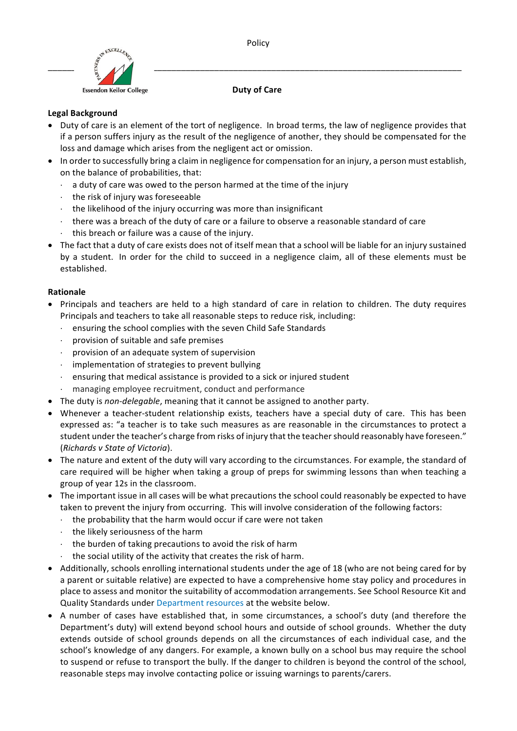

# **Duty of Care**

### **Legal Background**

- Duty of care is an element of the tort of negligence. In broad terms, the law of negligence provides that if a person suffers injury as the result of the negligence of another, they should be compensated for the loss and damage which arises from the negligent act or omission.
- In order to successfully bring a claim in negligence for compensation for an injury, a person must establish, on the balance of probabilities, that:
	- a duty of care was owed to the person harmed at the time of the injury
	- $\cdot$  the risk of injury was foreseeable
	- the likelihood of the injury occurring was more than insignificant
	- \* there was a breach of the duty of care or a failure to observe a reasonable standard of care
	- this breach or failure was a cause of the injury.
- The fact that a duty of care exists does not of itself mean that a school will be liable for an injury sustained by a student. In order for the child to succeed in a negligence claim, all of these elements must be established.

#### **Rationale**

- Principals and teachers are held to a high standard of care in relation to children. The duty requires Principals and teachers to take all reasonable steps to reduce risk, including:
	- $\cdot$  ensuring the school complies with the seven Child Safe Standards
	- provision of suitable and safe premises
	- provision of an adequate system of supervision
	- implementation of strategies to prevent bullying
	- $\cdot$  ensuring that medical assistance is provided to a sick or injured student
	- managing employee recruitment, conduct and performance
- The duty is *non-delegable*, meaning that it cannot be assigned to another party.
- Whenever a teacher-student relationship exists, teachers have a special duty of care. This has been expressed as: "a teacher is to take such measures as are reasonable in the circumstances to protect a student under the teacher's charge from risks of injury that the teacher should reasonably have foreseen." (*Richards v State of Victoria*).
- The nature and extent of the duty will vary according to the circumstances. For example, the standard of care required will be higher when taking a group of preps for swimming lessons than when teaching a group of year 12s in the classroom.
- The important issue in all cases will be what precautions the school could reasonably be expected to have taken to prevent the injury from occurring. This will involve consideration of the following factors:
	- $\cdot$  the probability that the harm would occur if care were not taken
	- $\cdot$  the likely seriousness of the harm
	- the burden of taking precautions to avoid the risk of harm
	- $\cdot$  the social utility of the activity that creates the risk of harm.
- Additionally, schools enrolling international students under the age of 18 (who are not being cared for by a parent or suitable relative) are expected to have a comprehensive home stay policy and procedures in place to assess and monitor the suitability of accommodation arrangements. See School Resource Kit and Quality Standards under Department resources at the website below.
- A number of cases have established that, in some circumstances, a school's duty (and therefore the Department's duty) will extend beyond school hours and outside of school grounds. Whether the duty extends outside of school grounds depends on all the circumstances of each individual case, and the school's knowledge of any dangers. For example, a known bully on a school bus may require the school to suspend or refuse to transport the bully. If the danger to children is beyond the control of the school, reasonable steps may involve contacting police or issuing warnings to parents/carers.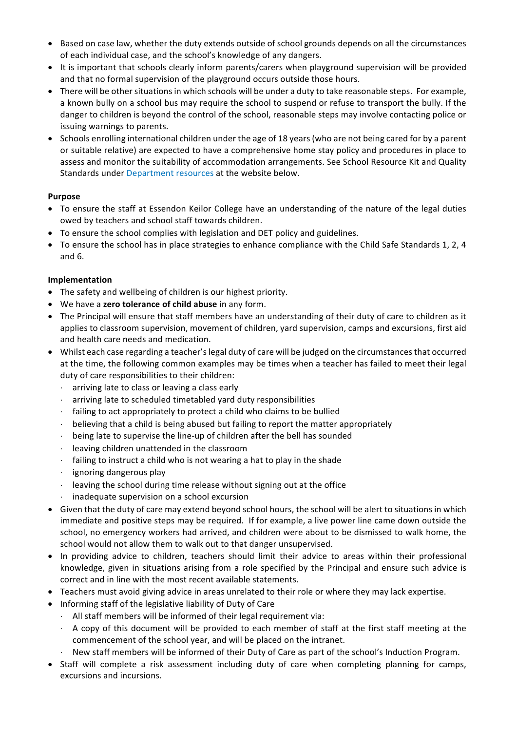- Based on case law, whether the duty extends outside of school grounds depends on all the circumstances of each individual case, and the school's knowledge of any dangers.
- It is important that schools clearly inform parents/carers when playground supervision will be provided and that no formal supervision of the playground occurs outside those hours.
- There will be other situations in which schools will be under a duty to take reasonable steps. For example, a known bully on a school bus may require the school to suspend or refuse to transport the bully. If the danger to children is beyond the control of the school, reasonable steps may involve contacting police or issuing warnings to parents.
- Schools enrolling international children under the age of 18 years (who are not being cared for by a parent or suitable relative) are expected to have a comprehensive home stay policy and procedures in place to assess and monitor the suitability of accommodation arrangements. See School Resource Kit and Quality Standards under Department resources at the website below.

#### **Purpose**

- To ensure the staff at Essendon Keilor College have an understanding of the nature of the legal duties owed by teachers and school staff towards children.
- To ensure the school complies with legislation and DET policy and guidelines.
- To ensure the school has in place strategies to enhance compliance with the Child Safe Standards 1, 2, 4 and  $6.$

## **Implementation**

- $\bullet$  The safety and wellbeing of children is our highest priority.
- We have a zero tolerance of child abuse in any form.
- The Principal will ensure that staff members have an understanding of their duty of care to children as it applies to classroom supervision, movement of children, yard supervision, camps and excursions, first aid and health care needs and medication.
- Whilst each case regarding a teacher's legal duty of care will be judged on the circumstances that occurred at the time, the following common examples may be times when a teacher has failed to meet their legal duty of care responsibilities to their children:
	- arriving late to class or leaving a class early
	- arriving late to scheduled timetabled yard duty responsibilities
	- $\cdot$  failing to act appropriately to protect a child who claims to be bullied
	- believing that a child is being abused but failing to report the matter appropriately
	- being late to supervise the line-up of children after the bell has sounded
	- leaving children unattended in the classroom
	- $\cdot$  failing to instruct a child who is not wearing a hat to play in the shade
	- ignoring dangerous play
	- $\cdot$  leaving the school during time release without signing out at the office
	- inadequate supervision on a school excursion
- Given that the duty of care may extend beyond school hours, the school will be alert to situations in which immediate and positive steps may be required. If for example, a live power line came down outside the school, no emergency workers had arrived, and children were about to be dismissed to walk home, the school would not allow them to walk out to that danger unsupervised.
- In providing advice to children, teachers should limit their advice to areas within their professional knowledge, given in situations arising from a role specified by the Principal and ensure such advice is correct and in line with the most recent available statements.
- Teachers must avoid giving advice in areas unrelated to their role or where they may lack expertise.
- Informing staff of the legislative liability of Duty of Care
	- $\cdot$  All staff members will be informed of their legal requirement via:
	- $\cdot$  A copy of this document will be provided to each member of staff at the first staff meeting at the commencement of the school year, and will be placed on the intranet.
	- New staff members will be informed of their Duty of Care as part of the school's Induction Program.
- Staff will complete a risk assessment including duty of care when completing planning for camps, excursions and incursions.